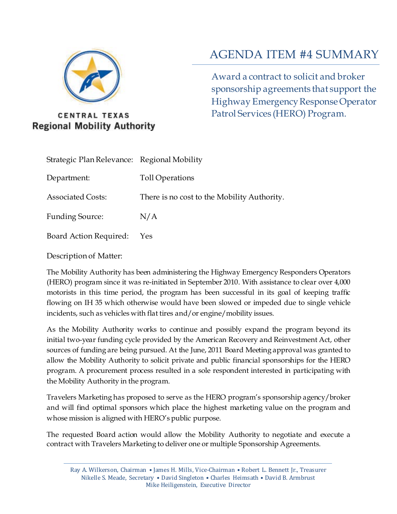

# **CENTRAL TEXAS Regional Mobility Authority**

# AGENDA ITEM #4 SUMMARY

Award a contract to solicit and broker sponsorship agreements that support the Highway Emergency Response Operator Patrol Services (HERO) Program.

| Strategic Plan Relevance: Regional Mobility |                                             |
|---------------------------------------------|---------------------------------------------|
| Department:                                 | Toll Operations                             |
| <b>Associated Costs:</b>                    | There is no cost to the Mobility Authority. |
| <b>Funding Source:</b>                      | N/A                                         |
| <b>Board Action Required:</b>               | Yes                                         |

Description of Matter:

The Mobility Authority has been administering the Highway Emergency Responders Operators (HERO) program since it was re-initiated in September 2010. With assistance to clear over 4,000 motorists in this time period, the program has been successful in its goal of keeping traffic flowing on IH 35 which otherwise would have been slowed or impeded due to single vehicle incidents, such as vehicles with flat tires and/or engine/mobility issues.

As the Mobility Authority works to continue and possibly expand the program beyond its initial two-year funding cycle provided by the American Recovery and Reinvestment Act, other sources of funding are being pursued. At the June, 2011 Board Meeting approval was granted to allow the Mobility Authority to solicit private and public financial sponsorships for the HERO program. A procurement process resulted in a sole respondent interested in participating with the Mobility Authority in the program.

Travelers Marketing has proposed to serve as the HERO program's sponsorship agency/broker and will find optimal sponsors which place the highest marketing value on the program and whose mission is aligned with HERO's public purpose.

The requested Board action would allow the Mobility Authority to negotiate and execute a contract with Travelers Marketing to deliver one or multiple Sponsorship Agreements.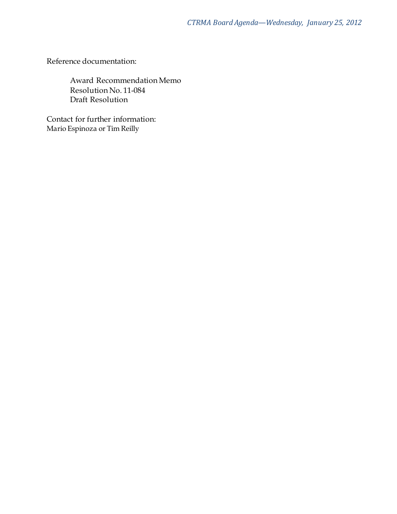Reference documentation:

Award Recommendation Memo Resolution No. 11-084 Draft Resolution

Contact for further information: Mario Espinoza or Tim Reilly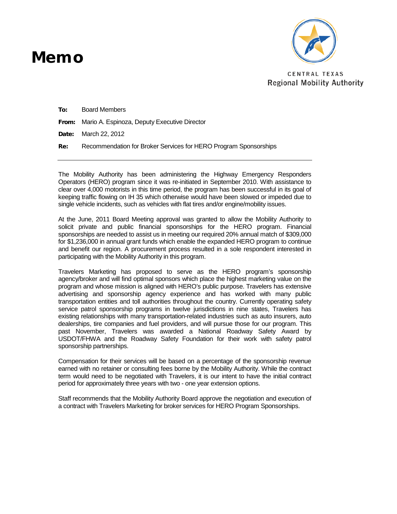# Mem o



CENTRAL TEXAS **Regional Mobility Authority** 

To: Board Members

From: Mario A. Espinoza, Deputy Executive Director

Date: March 22, 2012

Re: Recommendation for Broker Services for HERO Program Sponsorships

The Mobility Authority has been administering the Highway Emergency Responders Operators (HERO) program since it was re-initiated in September 2010. With assistance to clear over 4,000 motorists in this time period, the program has been successful in its goal of keeping traffic flowing on IH 35 which otherwise would have been slowed or impeded due to single vehicle incidents, such as vehicles with flat tires and/or engine/mobility issues.

At the June, 2011 Board Meeting approval was granted to allow the Mobility Authority to solicit private and public financial sponsorships for the HERO program. Financial sponsorships are needed to assist us in meeting our required 20% annual match of \$309,000 for \$1,236,000 in annual grant funds which enable the expanded HERO program to continue and benefit our region. A procurement process resulted in a sole respondent interested in participating with the Mobility Authority in this program.

Travelers Marketing has proposed to serve as the HERO program's sponsorship agency/broker and will find optimal sponsors which place the highest marketing value on the program and whose mission is aligned with HERO's public purpose. Travelers has extensive advertising and sponsorship agency experience and has worked with many public transportation entities and toll authorities throughout the country. Currently operating safety service patrol sponsorship programs in twelve jurisdictions in nine states, Travelers has existing relationships with many transportation-related industries such as auto insurers, auto dealerships, tire companies and fuel providers, and will pursue those for our program. This past November, Travelers was awarded a National Roadway Safety Award by USDOT/FHWA and the Roadway Safety Foundation for their work with safety patrol sponsorship partnerships.

Compensation for their services will be based on a percentage of the sponsorship revenue earned with no retainer or consulting fees borne by the Mobility Authority. While the contract term would need to be negotiated with Travelers, it is our intent to have the initial contract period for approximately three years with two - one year extension options.

Staff recommends that the Mobility Authority Board approve the negotiation and execution of a contract with Travelers Marketing for broker services for HERO Program Sponsorships.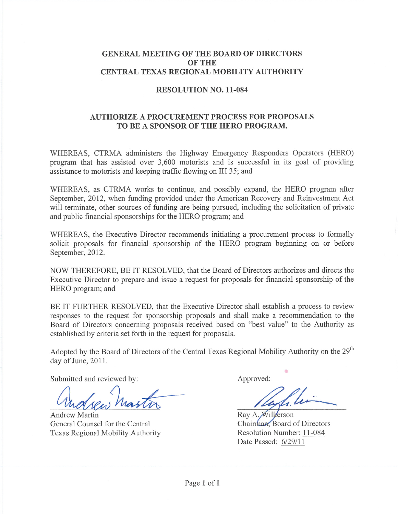### **GENERAL MEETING OF THE BOARD OF DIRECTORS OF THE** CENTRAL TEXAS REGIONAL MOBILITY AUTHORITY

#### **RESOLUTION NO. 11-084**

# **AUTHORIZE A PROCUREMENT PROCESS FOR PROPOSALS** TO BE A SPONSOR OF THE HERO PROGRAM.

WHEREAS, CTRMA administers the Highway Emergency Responders Operators (HERO) program that has assisted over 3,600 motorists and is successful in its goal of providing assistance to motorists and keeping traffic flowing on IH 35; and

WHEREAS, as CTRMA works to continue, and possibly expand, the HERO program after September, 2012, when funding provided under the American Recovery and Reinvestment Act will terminate, other sources of funding are being pursued, including the solicitation of private and public financial sponsorships for the HERO program; and

WHEREAS, the Executive Director recommends initiating a procurement process to formally solicit proposals for financial sponsorship of the HERO program beginning on or before September, 2012.

NOW THEREFORE, BE IT RESOLVED, that the Board of Directors authorizes and directs the Executive Director to prepare and issue a request for proposals for financial sponsorship of the HERO program; and

BE IT FURTHER RESOLVED, that the Executive Director shall establish a process to review responses to the request for sponsorship proposals and shall make a recommendation to the Board of Directors concerning proposals received based on "best value" to the Authority as established by criteria set forth in the request for proposals.

Adopted by the Board of Directors of the Central Texas Regional Mobility Authority on the 29<sup>th</sup> day of June, 2011.

Submitted and reviewed by:

**Andrew Martin** General Counsel for the Central Texas Regional Mobility Authority

Approved:

Ray A. Wilkerson Chairman, Board of Directors Resolution Number: 11-084 Date Passed: 6/29/11